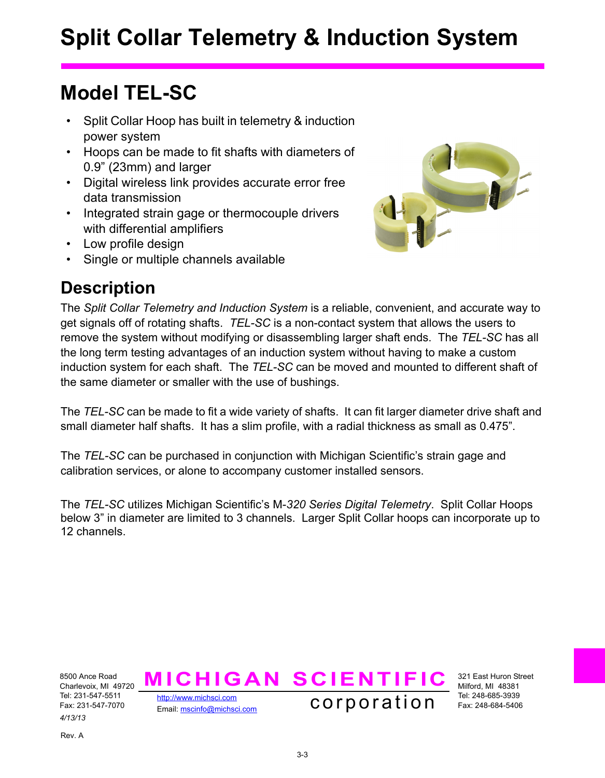# **Split Collar Telemetry & Induction System**

### **Model TEL-SC**

- Split Collar Hoop has built in telemetry & induction power system
- Hoops can be made to fit shafts with diameters of 0.9" (23mm) and larger
- Digital wireless link provides accurate error free data transmission
- Integrated strain gage or thermocouple drivers with differential amplifiers
- Low profile design
- Single or multiple channels available



### **Description**

The *Split Collar Telemetry and Induction System* is a reliable, convenient, and accurate way to get signals off of rotating shafts. *TEL-SC* is a non-contact system that allows the users to remove the system without modifying or disassembling larger shaft ends. The *TEL-SC* has all the long term testing advantages of an induction system without having to make a custom induction system for each shaft. The *TEL-SC* can be moved and mounted to different shaft of the same diameter or smaller with the use of bushings.

The *TEL-SC* can be made to fit a wide variety of shafts. It can fit larger diameter drive shaft and small diameter half shafts. It has a slim profile, with a radial thickness as small as 0.475".

The *TEL-SC* can be purchased in conjunction with Michigan Scientific's strain gage and calibration services, or alone to accompany customer installed sensors.

The *TEL-SC* utilizes Michigan Scientific's M-*320 Series Digital Telemetry*. Split Collar Hoops below 3" in diameter are limited to 3 channels. Larger Split Collar hoops can incorporate up to 12 channels.

8500 Ance Road Charlevoix, MI 49720 Tel: 231-547-5511 Fax: 231-547-7070 *4/13/13*

<http://www.michsci.com>



321 East Huron Street Milford, MI 48381 Tel: 248-685-3939 Fax: 248-684-5406